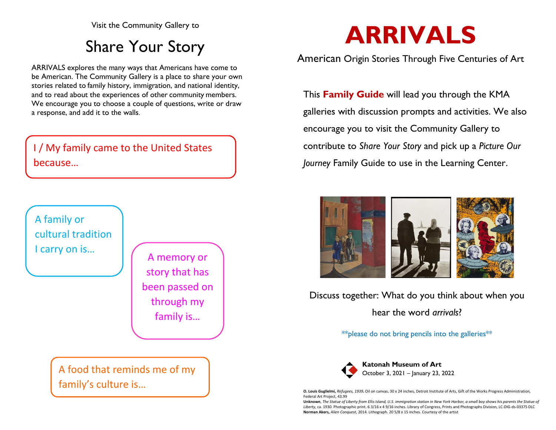Visit the Community Gallery to

# Share Your Story

ARRIVALS explores the many ways that Americans have come to be American. The Community Gallery is a place to share your own stories related to family history, immigration, and national identity, and to read about the experiences of other community members. We encourage you to choose a couple of questions, write or draw a response, and add it to the walls.

## I / My family came to the United States because…



A food that reminds me of my family's culture is…

# **ARRIVALS**

#### American Origin Stories Through Five Centuries of Art

This **Family Guide** will lead you through the KMA galleries with discussion prompts and activities. We also encourage you to visit the Community Gallery to contribute to *Share Your Story* and pick up a *Picture Our Journey* Family Guide to use in the Learning Center.



Discuss together: What do you think about when you hear the word *arrivals*?

\*\*please do not bring pencils into the galleries\*\*



**O. Louis Guglielmi,** *Refugees, 1939***.** Oil on canvas**.** 30 x 24 inches**.** Detroit Institute of Arts, Gift of the Works Progress Administration, Federal Art Project, 43.99

**Unknown**, *The Statue of Liberty from Ellis Island, U.S. immigration station in New York Harbor, a small boy shows his parents the Statue of Liberty,* ca. 1930. Photographic print. 6 3/16 x 4 9/16 inches. Library of Congress, Prints and Photographs Division, LC-DIG-ds-03375 DLC **Norman Akers,** *Alien Conquest*, 2014. Lithograph. 20 5/8 x 15 inches. Courtesy of the artist